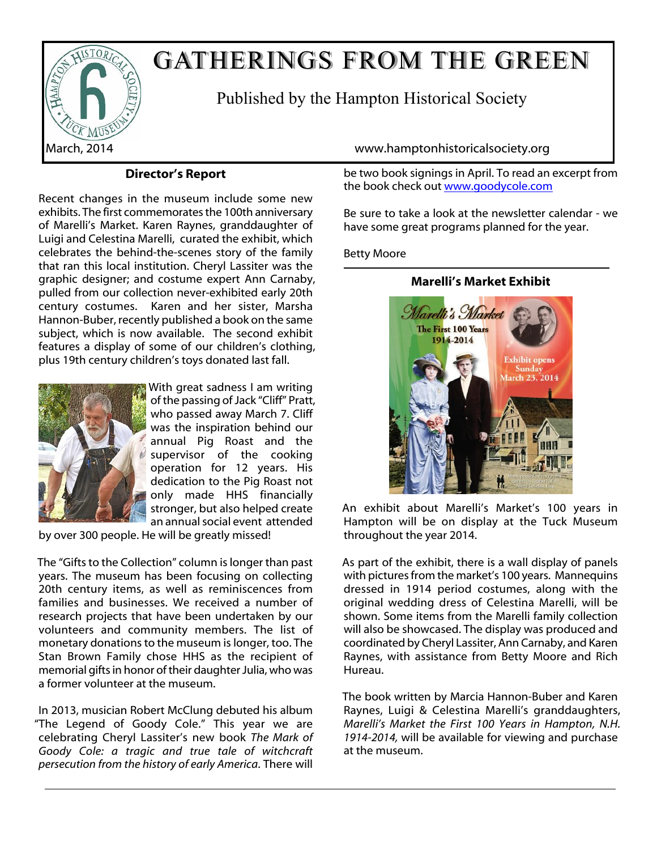

# GATHERINGS FROM THE GREEN

Published by the Hampton Historical Society

# **Director's Report**

Recent changes in the museum include some new exhibits. The first commemorates the 100th anniversary of Marelli's Market. Karen Raynes, granddaughter of Luigi and Celestina Marelli, curated the exhibit, which celebrates the behind-the-scenes story of the family that ran this local institution. Cheryl Lassiter was the graphic designer; and costume expert Ann Carnaby, pulled from our collection never-exhibited early 20th century costumes. Karen and her sister, Marsha Hannon-Buber, recently published a book on the same subject, which is now available. The second exhibit features a display of some of our children's clothing, plus 19th century children's toys donated last fall.



With great sadness I am writing of the passing of Jack "Cliff" Pratt, who passed away March 7. Cliff was the inspiration behind our annual Pig Roast and the supervisor of the cooking operation for 12 years. His dedication to the Pig Roast not only made HHS financially stronger, but also helped create an annual social event attended

by over 300 people. He will be greatly missed!

The "Gifts to the Collection" column is longer than past years. The museum has been focusing on collecting 20th century items, as well as reminiscences from families and businesses. We received a number of research projects that have been undertaken by our volunteers and community members. The list of monetary donations to the museum is longer, too. The Stan Brown Family chose HHS as the recipient of memorial gifts in honor of their daughter Julia, who was a former volunteer at the museum.

In 2013, musician Robert McClung debuted his album "The Legend of Goody Cole." This year we are celebrating Cheryl Lassiter's new book *The Mark of Goody Cole: a tragic and true tale of witchcraft persecution from the history of early America*. There will

March, 2014 www.hamptonhistoricalsociety.org

be two book signings in April. To read an excerpt from the book check out [www.goodycole.com](http://www.goodycole.com )

Be sure to take a look at the newsletter calendar - we have some great programs planned for the year.

# Betty Moore

# **Marelli's Market Exhibit**



An exhibit about Marelli's Market's 100 years in Hampton will be on display at the Tuck Museum throughout the year 2014.

As part of the exhibit, there is a wall display of panels with pictures from the market's 100 years. Mannequins dressed in 1914 period costumes, along with the original wedding dress of Celestina Marelli, will be shown. Some items from the Marelli family collection will also be showcased. The display was produced and coordinated by Cheryl Lassiter, Ann Carnaby, and Karen Raynes, with assistance from Betty Moore and Rich Hureau.

The book written by Marcia Hannon-Buber and Karen Raynes, Luigi & Celestina Marelli's granddaughters, *Marelli's Market the First 100 Years in Hampton, N.H. 1914-2014,* will be available for viewing and purchase at the museum.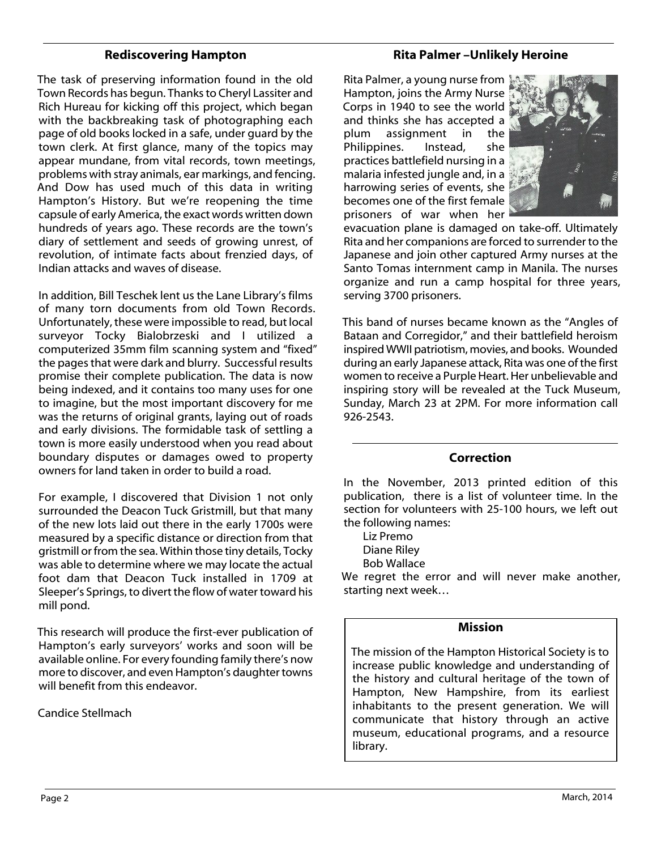# **Rediscovering Hampton**

The task of preserving information found in the old Town Records has begun. Thanks to Cheryl Lassiter and Rich Hureau for kicking off this project, which began with the backbreaking task of photographing each page of old books locked in a safe, under guard by the town clerk. At first glance, many of the topics may appear mundane, from vital records, town meetings, problems with stray animals, ear markings, and fencing. And Dow has used much of this data in writing Hampton's History. But we're reopening the time capsule of early America, the exact words written down hundreds of years ago. These records are the town's diary of settlement and seeds of growing unrest, of revolution, of intimate facts about frenzied days, of Indian attacks and waves of disease.

In addition, Bill Teschek lent us the Lane Library's films of many torn documents from old Town Records. Unfortunately, these were impossible to read, but local surveyor Tocky Bialobrzeski and I utilized a computerized 35mm film scanning system and "fixed" the pages that were dark and blurry. Successful results promise their complete publication. The data is now being indexed, and it contains too many uses for one to imagine, but the most important discovery for me was the returns of original grants, laying out of roads and early divisions. The formidable task of settling a town is more easily understood when you read about boundary disputes or damages owed to property owners for land taken in order to build a road.

For example, I discovered that Division 1 not only surrounded the Deacon Tuck Gristmill, but that many of the new lots laid out there in the early 1700s were measured by a specific distance or direction from that gristmill or from the sea. Within those tiny details, Tocky was able to determine where we may locate the actual foot dam that Deacon Tuck installed in 1709 at Sleeper's Springs, to divert the flow of water toward his mill pond.

This research will produce the first-ever publication of Hampton's early surveyors' works and soon will be available online. For every founding family there's now more to discover, and even Hampton's daughter towns will benefit from this endeavor.

#### Candice Stellmach

# **Rita Palmer –Unlikely Heroine**

Rita Palmer, a young nurse from Hampton, joins the Army Nurse Corps in 1940 to see the world and thinks she has accepted a plum assignment in the Philippines. Instead, she practices battlefield nursing in a malaria infested jungle and, in a harrowing series of events, she becomes one of the first female prisoners of war when her



evacuation plane is damaged on take-off. Ultimately Rita and her companions are forced to surrender to the Japanese and join other captured Army nurses at the Santo Tomas internment camp in Manila. The nurses organize and run a camp hospital for three years, serving 3700 prisoners.

This band of nurses became known as the "Angles of Bataan and Corregidor," and their battlefield heroism inspired WWII patriotism, movies, and books. Wounded during an early Japanese attack, Rita was one of the first women to receive a Purple Heart. Her unbelievable and inspiring story will be revealed at the Tuck Museum, Sunday, March 23 at 2PM. For more information call 926-2543.

#### **Correction**

In the November, 2013 printed edition of this publication, there is a list of volunteer time. In the section for volunteers with 25-100 hours, we left out the following names:

Liz Premo Diane Riley

Bob Wallace

We regret the error and will never make another, starting next week…

#### **Mission**

The mission of the Hampton Historical Society is to increase public knowledge and understanding of the history and cultural heritage of the town of Hampton, New Hampshire, from its earliest inhabitants to the present generation. We will communicate that history through an active museum, educational programs, and a resource library.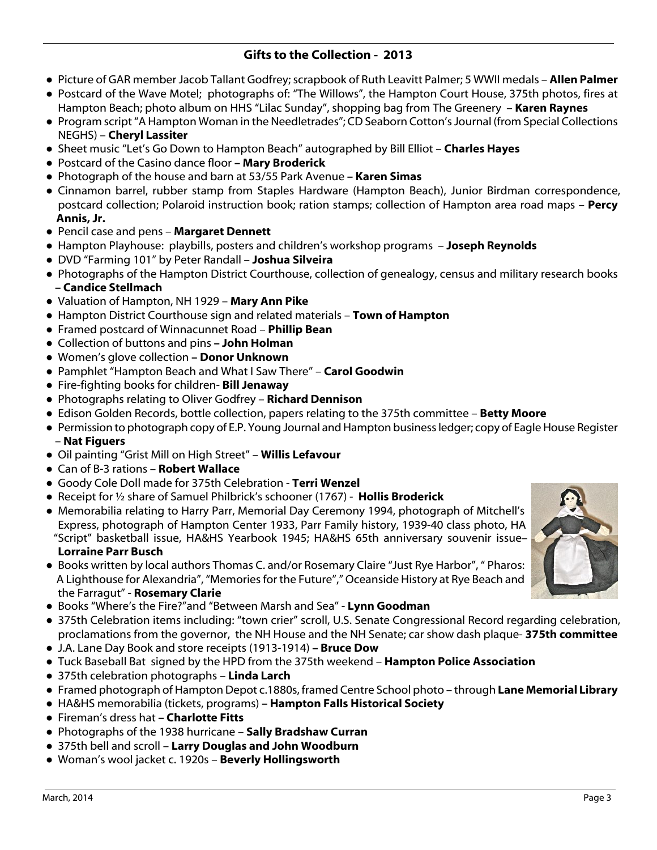# **Gifts to the Collection - 2013**

- **●** Picture of GAR member Jacob Tallant Godfrey; scrapbook of Ruth Leavitt Palmer; 5 WWII medals **Allen Palmer**
- **●** Postcard of the Wave Motel; photographs of: "The Willows", the Hampton Court House, 375th photos, fires at Hampton Beach; photo album on HHS "Lilac Sunday", shopping bag from The Greenery – **Karen Raynes**
- **●** Program script "A Hampton Woman in the Needletrades"; CD Seaborn Cotton's Journal (from Special Collections NEGHS) – **Cheryl Lassiter**
- **●** Sheet music "Let's Go Down to Hampton Beach" autographed by Bill Elliot **Charles Hayes**
- **●** Postcard of the Casino dance floor  **Mary Broderick**
- **●** Photograph of the house and barn at 53/55 Park Avenue  **Karen Simas**
- **●** Cinnamon barrel, rubber stamp from Staples Hardware (Hampton Beach), Junior Birdman correspondence, postcard collection; Polaroid instruction book; ration stamps; collection of Hampton area road maps – **Percy Annis, Jr.**
- **●** Pencil case and pens **Margaret Dennett**
- **●** Hampton Playhouse: playbills, posters and children's workshop programs **Joseph Reynolds**
- **●** DVD "Farming 101" by Peter Randall **Joshua Silveira**
- **●** Photographs of the Hampton District Courthouse, collection of genealogy, census and military research books **– Candice Stellmach**
- **●** Valuation of Hampton, NH 1929 **Mary Ann Pike**
- **●** Hampton District Courthouse sign and related materials **Town of Hampton**
- **●** Framed postcard of Winnacunnet Road **Phillip Bean**
- **●** Collection of buttons and pins  **John Holman**
- **●** Women's glove collection  **Donor Unknown**
- **●** Pamphlet "Hampton Beach and What I Saw There" **Carol Goodwin**
- **●** Fire-fighting books for children- **Bill Jenaway**
- **●** Photographs relating to Oliver Godfrey **Richard Dennison**
- Edison Golden Records, bottle collection, papers relating to the 375th committee **Betty Moore**
- **●** Permission to photograph copy of E.P. Young Journal and Hampton business ledger; copy of Eagle House Register – **Nat Figuers**
- **●** Oil painting "Grist Mill on High Street" **Willis Lefavour**
- **●** Can of B-3 rations **Robert Wallace**
- **●** Goody Cole Doll made for 375th Celebration **Terri Wenzel**
- **●** Receipt for ½ share of Samuel Philbrick's schooner (1767) **Hollis Broderick**
- **●** Memorabilia relating to Harry Parr, Memorial Day Ceremony 1994, photograph of Mitchell's Express, photograph of Hampton Center 1933, Parr Family history, 1939-40 class photo, HA "Script" basketball issue, HA&HS Yearbook 1945; HA&HS 65th anniversary souvenir issue– **Lorraine Parr Busch**
- **●** Books written by local authors Thomas C. and/or Rosemary Claire "Just Rye Harbor", " Pharos: A Lighthouse for Alexandria", "Memories for the Future"," Oceanside History at Rye Beach and the Farragut" - **Rosemary Clarie**
- **●** Books "Where's the Fire?"and "Between Marsh and Sea" **Lynn Goodman**
- **●** 375th Celebration items including: "town crier" scroll, U.S. Senate Congressional Record regarding celebration, proclamations from the governor, the NH House and the NH Senate; car show dash plaque- **375th committee**
- **●** J.A. Lane Day Book and store receipts (1913-1914)  **Bruce Dow**
- **●** Tuck Baseball Bat signed by the HPD from the 375th weekend **Hampton Police Association**
- **●** 375th celebration photographs **Linda Larch**
- **●** Framed photograph of Hampton Depot c.1880s, framed Centre School photo through **Lane Memorial Library**
- **●** HA&HS memorabilia (tickets, programs)  **Hampton Falls Historical Society**
- **●** Fireman's dress hat  **Charlotte Fitts**
- **●** Photographs of the 1938 hurricane **Sally Bradshaw Curran**
- **●** 375th bell and scroll **Larry Douglas and John Woodburn**
- **●** Woman's wool jacket c. 1920s **Beverly Hollingsworth**

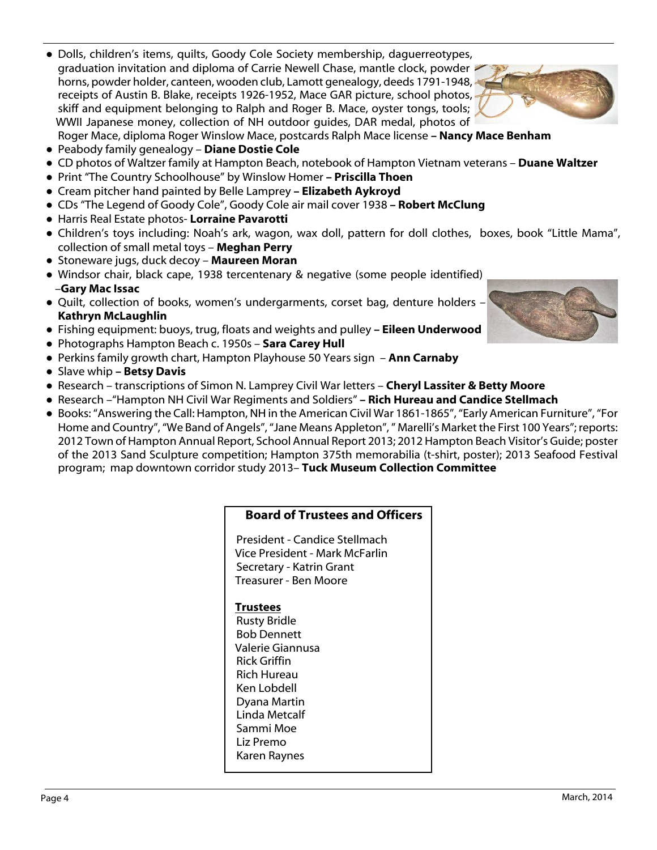Page 4

- **●** Dolls, children's items, quilts, Goody Cole Society membership, daguerreotypes, graduation invitation and diploma of Carrie Newell Chase, mantle clock, powder horns, powder holder, canteen, wooden club, Lamott genealogy, deeds 1791-1948, receipts of Austin B. Blake, receipts 1926-1952, Mace GAR picture, school photos, skiff and equipment belonging to Ralph and Roger B. Mace, oyster tongs, tools; WWII Japanese money, collection of NH outdoor guides, DAR medal, photos of Roger Mace, diploma Roger Winslow Mace, postcards Ralph Mace license **– Nancy Mace Benham**
- **●** Peabody family genealogy **Diane Dostie Cole**
- **●** CD photos of Waltzer family at Hampton Beach, notebook of Hampton Vietnam veterans **Duane Waltzer**
- **●** Print "The Country Schoolhouse" by Winslow Homer  **Priscilla Thoen**
- **●** Cream pitcher hand painted by Belle Lamprey  **Elizabeth Aykroyd**
- **●** CDs "The Legend of Goody Cole", Goody Cole air mail cover 1938  **Robert McClung**
- **●** Harris Real Estate photos- **Lorraine Pavarotti**
- **●** Children's toys including: Noah's ark, wagon, wax doll, pattern for doll clothes, boxes, book "Little Mama", collection of small metal toys – **Meghan Perry**
- **●** Stoneware jugs, duck decoy **Maureen Moran**
- **●** Windsor chair, black cape, 1938 tercentenary & negative (some people identified) –**Gary Mac Issac**
- **●** Quilt, collection of books, women's undergarments, corset bag, denture holders **Kathryn McLaughlin**
- **●** Fishing equipment: buoys, trug, floats and weights and pulley  **Eileen Underwood**
- **●** Photographs Hampton Beach c. 1950s **Sara Carey Hull**
- **●** Perkins family growth chart, Hampton Playhouse 50 Years sign **Ann Carnaby**
- **●** Slave whip  **Betsy Davis**
- **●** Research transcriptions of Simon N. Lamprey Civil War letters **Cheryl Lassiter & Betty Moore**
- **●** Research –"Hampton NH Civil War Regiments and Soldiers"  **Rich Hureau and Candice Stellmach**
- **●** Books: "Answering the Call: Hampton, NH in the American Civil War 1861-1865", "Early American Furniture", "For Home and Country", "We Band of Angels", "Jane Means Appleton", " Marelli's Market the First 100 Years"; reports: 2012 Town of Hampton Annual Report, School Annual Report 2013; 2012 Hampton Beach Visitor's Guide; poster of the 2013 Sand Sculpture competition; Hampton 375th memorabilia (t-shirt, poster); 2013 Seafood Festival program; map downtown corridor study 2013– **Tuck Museum Collection Committee**

| <b>Board of Trustees and Officers</b> |
|---------------------------------------|
|---------------------------------------|

President - Candice Stellmach Vice President - Mark McFarlin Secretary - Katrin Grant Treasurer - Ben Moore

# **Trustees**

Rusty Bridle Bob Dennett Valerie Giannusa Rick Griffin Rich Hureau Ken Lobdell Dyana Martin Linda Metcalf Sammi Moe Liz Premo Karen Raynes



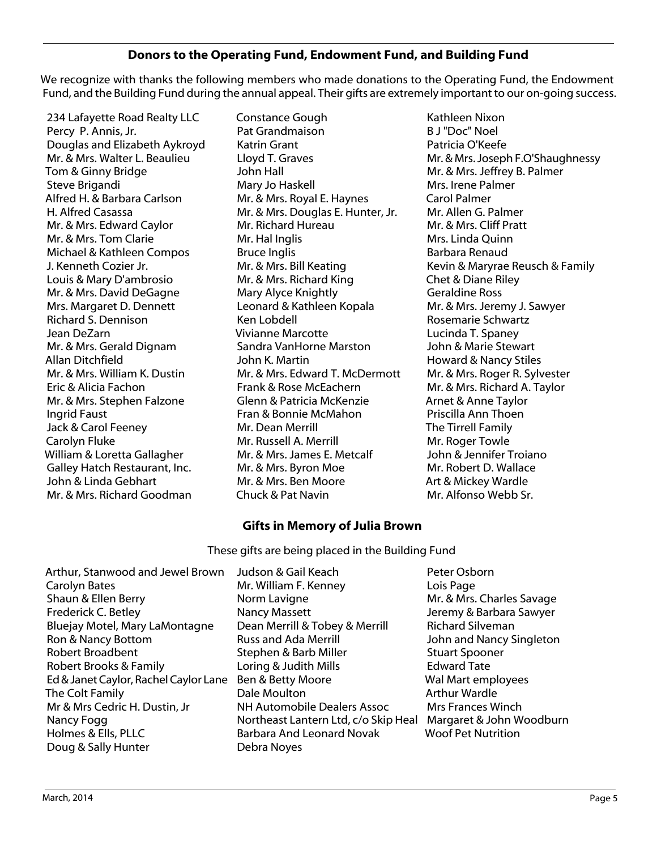# **Donors to the Operating Fund, Endowment Fund, and Building Fund**

We recognize with thanks the following members who made donations to the Operating Fund, the Endowment Fund, and the Building Fund during the annual appeal. Their gifts are extremely important to our on-going success.

234 Lafayette Road Realty LLC Percy P. Annis, Jr. Douglas and Elizabeth Aykroyd Mr. & Mrs. Walter L. Beaulieu Tom & Ginny Bridge Steve Brigandi Alfred H. & Barbara Carlson H. Alfred Casassa Mr. & Mrs. Edward Caylor Mr. & Mrs. Tom Clarie Michael & Kathleen Compos J. Kenneth Cozier Jr. Louis & Mary D'ambrosio Mr. & Mrs. David DeGagne Mrs. Margaret D. Dennett Richard S. Dennison Jean DeZarn Mr. & Mrs. Gerald Dignam Allan Ditchfield Mr. & Mrs. William K. Dustin Eric & Alicia Fachon Mr. & Mrs. Stephen Falzone Ingrid Faust Jack & Carol Feeney Carolyn Fluke William & Loretta Gallagher Galley Hatch Restaurant, Inc. John & Linda Gebhart Mr. & Mrs. Richard Goodman

Constance Gough Pat Grandmaison Katrin Grant Lloyd T. Graves John Hall Mary Jo Haskell Mr. & Mrs. Royal E. Haynes Mr. & Mrs. Douglas E. Hunter, Jr. Mr. Richard Hureau Mr. Hal Inglis Bruce Inglis Mr. & Mrs. Bill Keating Mr. & Mrs. Richard King Mary Alyce Knightly Leonard & Kathleen Kopala Ken Lobdell Vivianne Marcotte Sandra VanHorne Marston John K. Martin Mr. & Mrs. Edward T. McDermott Frank & Rose McEachern Glenn & Patricia McKenzie Fran & Bonnie McMahon Mr. Dean Merrill Mr. Russell A. Merrill Mr. & Mrs. James E. Metcalf Mr. & Mrs. Byron Moe Mr. & Mrs. Ben Moore Chuck & Pat Navin

Kathleen Nixon B J "Doc" Noel Patricia O'Keefe Mr. & Mrs. Joseph F.O'Shaughnessy Mr. & Mrs. Jeffrey B. Palmer Mrs. Irene Palmer Carol Palmer Mr. Allen G. Palmer Mr. & Mrs. Cliff Pratt Mrs. Linda Quinn Barbara Renaud Kevin & Maryrae Reusch & Family Chet & Diane Riley Geraldine Ross Mr. & Mrs. Jeremy J. Sawyer Rosemarie Schwartz Lucinda T. Spaney John & Marie Stewart Howard & Nancy Stiles Mr. & Mrs. Roger R. Sylvester Mr. & Mrs. Richard A. Taylor Arnet & Anne Taylor Priscilla Ann Thoen The Tirrell Family Mr. Roger Towle John & Jennifer Troiano Mr. Robert D. Wallace Art & Mickey Wardle Mr. Alfonso Webb Sr.

# **Gifts in Memory of Julia Brown**

These gifts are being placed in the Building Fund

- Arthur, Stanwood and Jewel Brown Carolyn Bates Shaun & Ellen Berry Frederick C. Betley Bluejay Motel, Mary LaMontagne Ron & Nancy Bottom Robert Broadbent Robert Brooks & Family Ed & Janet Caylor, Rachel Caylor Lane The Colt Family Mr & Mrs Cedric H. Dustin, Jr Nancy Fogg Holmes & Ells, PLLC Doug & Sally Hunter
- Judson & Gail Keach Mr. William F. Kenney Norm Lavigne Nancy Massett Dean Merrill & Tobey & Merrill Russ and Ada Merrill Stephen & Barb Miller Loring & Judith Mills Ben & Betty Moore Dale Moulton NH Automobile Dealers Assoc Northeast Lantern Ltd, c/o Skip Heal Barbara And Leonard Novak Debra Noyes
- Peter Osborn Lois Page Mr. & Mrs. Charles Savage Jeremy & Barbara Sawyer Richard Silveman John and Nancy Singleton Stuart Spooner Edward Tate Wal Mart employees Arthur Wardle Mrs Frances Winch Margaret & John Woodburn Woof Pet Nutrition